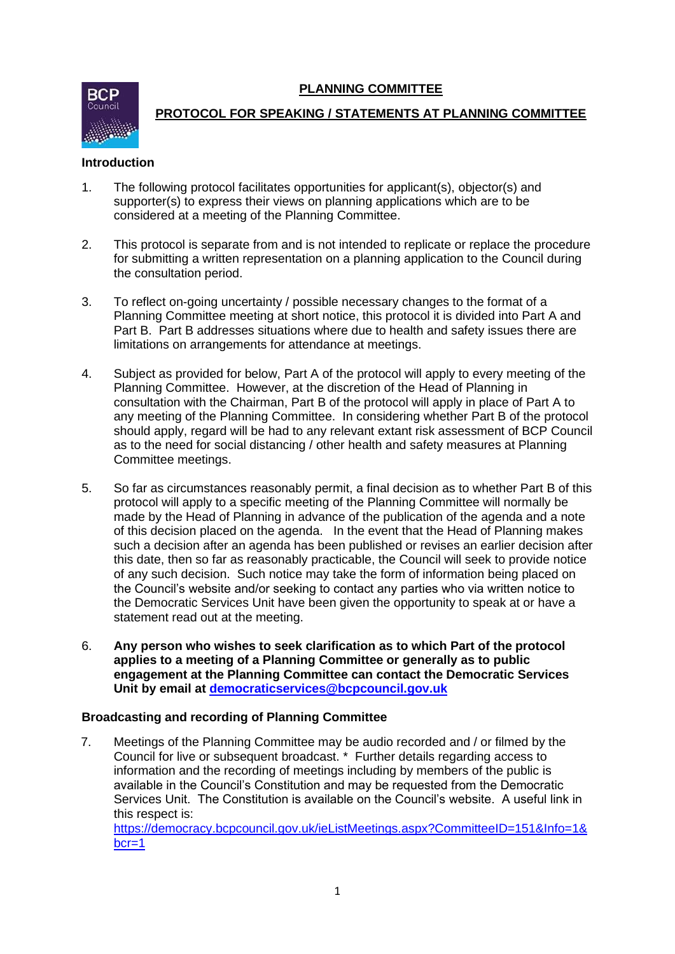**PLANNING COMMITTEE**



# **PROTOCOL FOR SPEAKING / STATEMENTS AT PLANNING COMMITTEE**

## **Introduction**

- 1. The following protocol facilitates opportunities for applicant(s), objector(s) and supporter(s) to express their views on planning applications which are to be considered at a meeting of the Planning Committee.
- 2. This protocol is separate from and is not intended to replicate or replace the procedure for submitting a written representation on a planning application to the Council during the consultation period.
- 3. To reflect on-going uncertainty / possible necessary changes to the format of a Planning Committee meeting at short notice, this protocol it is divided into Part A and Part B. Part B addresses situations where due to health and safety issues there are limitations on arrangements for attendance at meetings.
- 4. Subject as provided for below, Part A of the protocol will apply to every meeting of the Planning Committee. However, at the discretion of the Head of Planning in consultation with the Chairman, Part B of the protocol will apply in place of Part A to any meeting of the Planning Committee. In considering whether Part B of the protocol should apply, regard will be had to any relevant extant risk assessment of BCP Council as to the need for social distancing / other health and safety measures at Planning Committee meetings.
- 5. So far as circumstances reasonably permit, a final decision as to whether Part B of this protocol will apply to a specific meeting of the Planning Committee will normally be made by the Head of Planning in advance of the publication of the agenda and a note of this decision placed on the agenda. In the event that the Head of Planning makes such a decision after an agenda has been published or revises an earlier decision after this date, then so far as reasonably practicable, the Council will seek to provide notice of any such decision. Such notice may take the form of information being placed on the Council's website and/or seeking to contact any parties who via written notice to the Democratic Services Unit have been given the opportunity to speak at or have a statement read out at the meeting.
- 6. **Any person who wishes to seek clarification as to which Part of the protocol applies to a meeting of a Planning Committee or generally as to public engagement at the Planning Committee can contact the Democratic Services Unit by email at [democraticservices@bcpcouncil.gov.uk](mailto:democraticservices@bcpcouncil.gov.uk)**

## **Broadcasting and recording of Planning Committee**

7. Meetings of the Planning Committee may be audio recorded and / or filmed by the Council for live or subsequent broadcast. \* Further details regarding access to information and the recording of meetings including by members of the public is available in the Council's Constitution and may be requested from the Democratic Services Unit. The Constitution is available on the Council's website. A useful link in this respect is: [https://democracy.bcpcouncil.gov.uk/ieListMeetings.aspx?CommitteeID=151&Info=1&](https://democracy.bcpcouncil.gov.uk/ieListMeetings.aspx?CommitteeID=151&Info=1&bcr=1)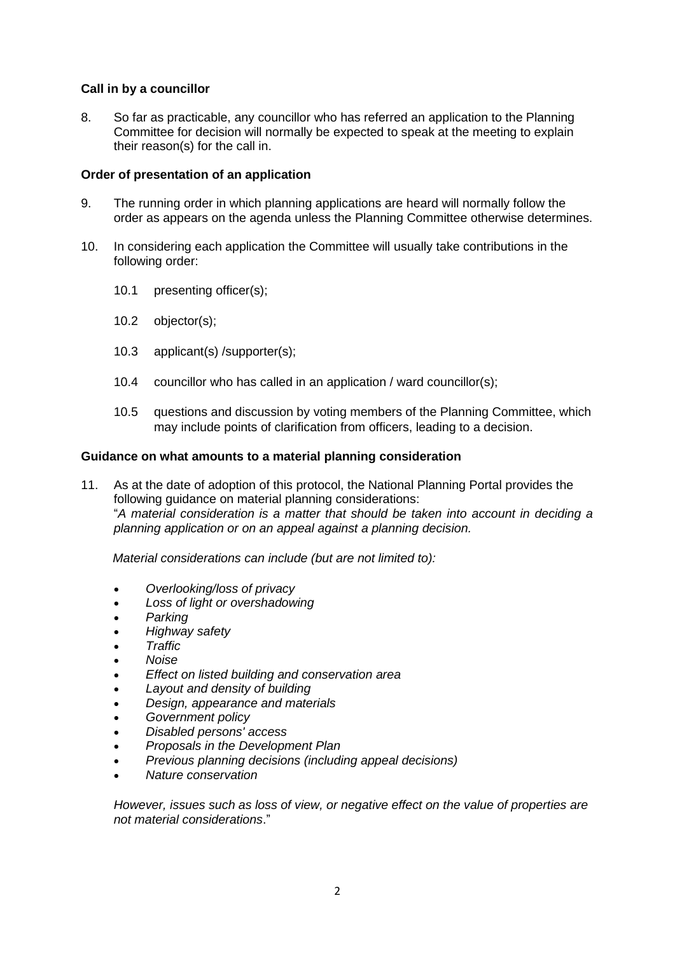## **Call in by a councillor**

8. So far as practicable, any councillor who has referred an application to the Planning Committee for decision will normally be expected to speak at the meeting to explain their reason(s) for the call in.

#### **Order of presentation of an application**

- 9. The running order in which planning applications are heard will normally follow the order as appears on the agenda unless the Planning Committee otherwise determines.
- 10. In considering each application the Committee will usually take contributions in the following order:
	- 10.1 presenting officer(s);
	- 10.2 objector(s);
	- 10.3 applicant(s) /supporter(s);
	- 10.4 councillor who has called in an application / ward councillor(s);
	- 10.5 questions and discussion by voting members of the Planning Committee, which may include points of clarification from officers, leading to a decision.

#### **Guidance on what amounts to a material planning consideration**

11. As at the date of adoption of this protocol, the National Planning Portal provides the following guidance on material planning considerations: "*A material consideration is a matter that should be taken into account in deciding a planning application or on an appeal against a planning decision.*

 *Material considerations can include (but are not limited to):*

- *Overlooking/loss of privacy*
- *Loss of light or overshadowing*
- *Parking*
- *Highway safety*
- *Traffic*
- *Noise*
- *Effect on listed building and conservation area*
- *Layout and density of building*
- *Design, appearance and materials*
- *Government policy*
- *Disabled persons' access*
- *Proposals in the Development Plan*
- *Previous planning decisions (including appeal decisions)*
- *Nature conservation*

*However, issues such as loss of view, or negative effect on the value of properties are not material considerations*."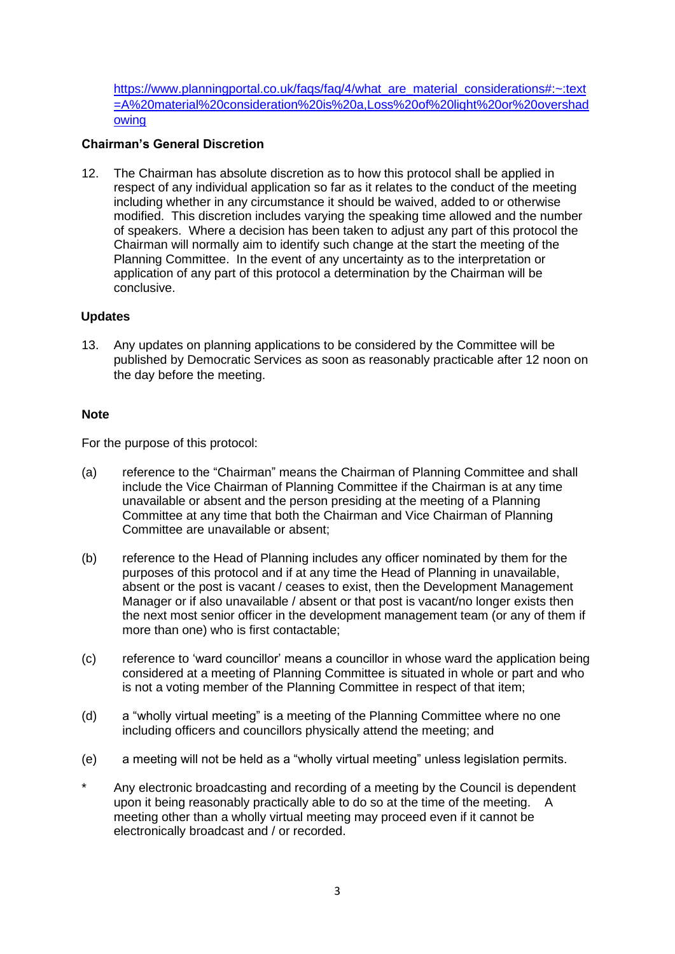[https://www.planningportal.co.uk/faqs/faq/4/what\\_are\\_material\\_considerations#:~:text](https://www.planningportal.co.uk/faqs/faq/4/what_are_material_considerations#:~:text=A%20material%20consideration%20is%20a,Loss%20of%20light%20or%20overshadowing) [=A%20material%20consideration%20is%20a,Loss%20of%20light%20or%20overshad](https://www.planningportal.co.uk/faqs/faq/4/what_are_material_considerations#:~:text=A%20material%20consideration%20is%20a,Loss%20of%20light%20or%20overshadowing) [owing](https://www.planningportal.co.uk/faqs/faq/4/what_are_material_considerations#:~:text=A%20material%20consideration%20is%20a,Loss%20of%20light%20or%20overshadowing)

## **Chairman's General Discretion**

12. The Chairman has absolute discretion as to how this protocol shall be applied in respect of any individual application so far as it relates to the conduct of the meeting including whether in any circumstance it should be waived, added to or otherwise modified. This discretion includes varying the speaking time allowed and the number of speakers. Where a decision has been taken to adjust any part of this protocol the Chairman will normally aim to identify such change at the start the meeting of the Planning Committee. In the event of any uncertainty as to the interpretation or application of any part of this protocol a determination by the Chairman will be conclusive.

## **Updates**

13. Any updates on planning applications to be considered by the Committee will be published by Democratic Services as soon as reasonably practicable after 12 noon on the day before the meeting.

## **Note**

For the purpose of this protocol:

- (a) reference to the "Chairman" means the Chairman of Planning Committee and shall include the Vice Chairman of Planning Committee if the Chairman is at any time unavailable or absent and the person presiding at the meeting of a Planning Committee at any time that both the Chairman and Vice Chairman of Planning Committee are unavailable or absent;
- (b) reference to the Head of Planning includes any officer nominated by them for the purposes of this protocol and if at any time the Head of Planning in unavailable, absent or the post is vacant / ceases to exist, then the Development Management Manager or if also unavailable / absent or that post is vacant/no longer exists then the next most senior officer in the development management team (or any of them if more than one) who is first contactable;
- (c) reference to 'ward councillor' means a councillor in whose ward the application being considered at a meeting of Planning Committee is situated in whole or part and who is not a voting member of the Planning Committee in respect of that item;
- (d) a "wholly virtual meeting" is a meeting of the Planning Committee where no one including officers and councillors physically attend the meeting; and
- (e) a meeting will not be held as a "wholly virtual meeting" unless legislation permits.
- Any electronic broadcasting and recording of a meeting by the Council is dependent upon it being reasonably practically able to do so at the time of the meeting. A meeting other than a wholly virtual meeting may proceed even if it cannot be electronically broadcast and / or recorded.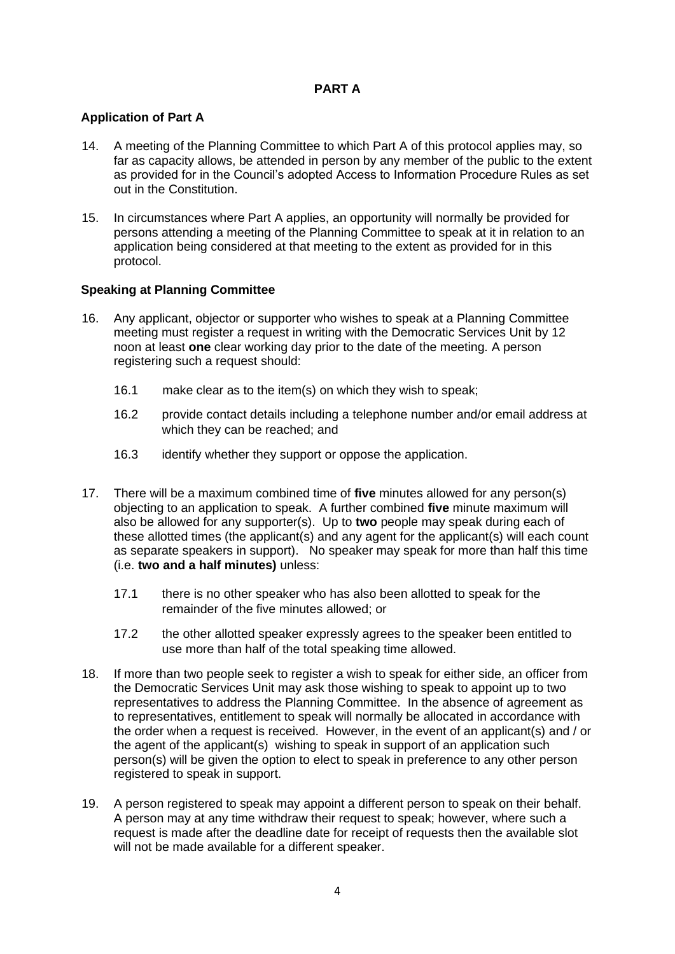## **PART A**

## **Application of Part A**

- 14. A meeting of the Planning Committee to which Part A of this protocol applies may, so far as capacity allows, be attended in person by any member of the public to the extent as provided for in the Council's adopted Access to Information Procedure Rules as set out in the Constitution.
- 15. In circumstances where Part A applies, an opportunity will normally be provided for persons attending a meeting of the Planning Committee to speak at it in relation to an application being considered at that meeting to the extent as provided for in this protocol.

## **Speaking at Planning Committee**

- 16. Any applicant, objector or supporter who wishes to speak at a Planning Committee meeting must register a request in writing with the Democratic Services Unit by 12 noon at least **one** clear working day prior to the date of the meeting. A person registering such a request should:
	- 16.1 make clear as to the item(s) on which they wish to speak;
	- 16.2 provide contact details including a telephone number and/or email address at which they can be reached; and
	- 16.3 identify whether they support or oppose the application.
- 17. There will be a maximum combined time of **five** minutes allowed for any person(s) objecting to an application to speak. A further combined **five** minute maximum will also be allowed for any supporter(s). Up to **two** people may speak during each of these allotted times (the applicant(s) and any agent for the applicant(s) will each count as separate speakers in support). No speaker may speak for more than half this time (i.e. **two and a half minutes)** unless:
	- 17.1 there is no other speaker who has also been allotted to speak for the remainder of the five minutes allowed; or
	- 17.2 the other allotted speaker expressly agrees to the speaker been entitled to use more than half of the total speaking time allowed.
- 18. If more than two people seek to register a wish to speak for either side, an officer from the Democratic Services Unit may ask those wishing to speak to appoint up to two representatives to address the Planning Committee. In the absence of agreement as to representatives, entitlement to speak will normally be allocated in accordance with the order when a request is received. However, in the event of an applicant(s) and / or the agent of the applicant(s) wishing to speak in support of an application such person(s) will be given the option to elect to speak in preference to any other person registered to speak in support.
- 19. A person registered to speak may appoint a different person to speak on their behalf. A person may at any time withdraw their request to speak; however, where such a request is made after the deadline date for receipt of requests then the available slot will not be made available for a different speaker.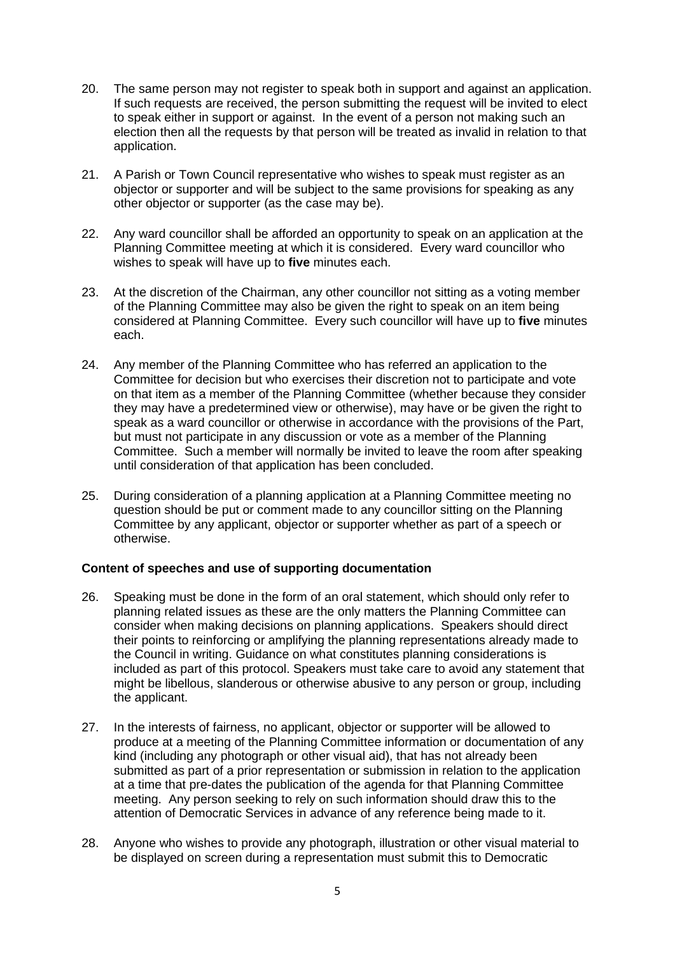- 20. The same person may not register to speak both in support and against an application. If such requests are received, the person submitting the request will be invited to elect to speak either in support or against. In the event of a person not making such an election then all the requests by that person will be treated as invalid in relation to that application.
- 21. A Parish or Town Council representative who wishes to speak must register as an objector or supporter and will be subject to the same provisions for speaking as any other objector or supporter (as the case may be).
- 22. Any ward councillor shall be afforded an opportunity to speak on an application at the Planning Committee meeting at which it is considered. Every ward councillor who wishes to speak will have up to **five** minutes each.
- 23. At the discretion of the Chairman, any other councillor not sitting as a voting member of the Planning Committee may also be given the right to speak on an item being considered at Planning Committee. Every such councillor will have up to **five** minutes each.
- 24. Any member of the Planning Committee who has referred an application to the Committee for decision but who exercises their discretion not to participate and vote on that item as a member of the Planning Committee (whether because they consider they may have a predetermined view or otherwise), may have or be given the right to speak as a ward councillor or otherwise in accordance with the provisions of the Part, but must not participate in any discussion or vote as a member of the Planning Committee. Such a member will normally be invited to leave the room after speaking until consideration of that application has been concluded.
- 25. During consideration of a planning application at a Planning Committee meeting no question should be put or comment made to any councillor sitting on the Planning Committee by any applicant, objector or supporter whether as part of a speech or otherwise.

## **Content of speeches and use of supporting documentation**

- 26. Speaking must be done in the form of an oral statement, which should only refer to planning related issues as these are the only matters the Planning Committee can consider when making decisions on planning applications. Speakers should direct their points to reinforcing or amplifying the planning representations already made to the Council in writing. Guidance on what constitutes planning considerations is included as part of this protocol. Speakers must take care to avoid any statement that might be libellous, slanderous or otherwise abusive to any person or group, including the applicant.
- 27. In the interests of fairness, no applicant, objector or supporter will be allowed to produce at a meeting of the Planning Committee information or documentation of any kind (including any photograph or other visual aid), that has not already been submitted as part of a prior representation or submission in relation to the application at a time that pre-dates the publication of the agenda for that Planning Committee meeting. Any person seeking to rely on such information should draw this to the attention of Democratic Services in advance of any reference being made to it.
- 28. Anyone who wishes to provide any photograph, illustration or other visual material to be displayed on screen during a representation must submit this to Democratic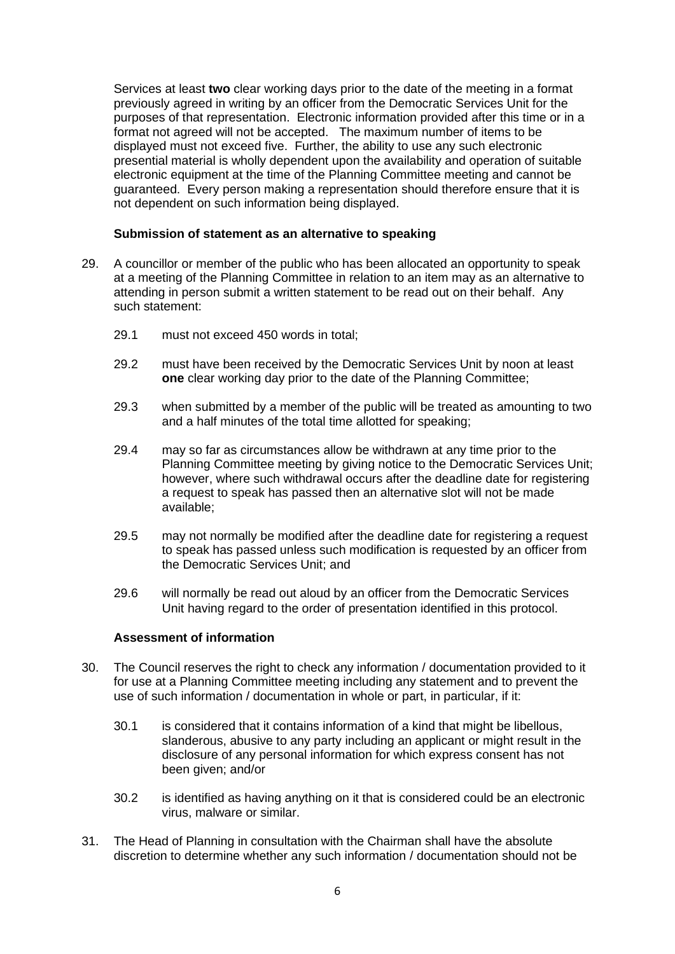Services at least **two** clear working days prior to the date of the meeting in a format previously agreed in writing by an officer from the Democratic Services Unit for the purposes of that representation. Electronic information provided after this time or in a format not agreed will not be accepted. The maximum number of items to be displayed must not exceed five. Further, the ability to use any such electronic presential material is wholly dependent upon the availability and operation of suitable electronic equipment at the time of the Planning Committee meeting and cannot be guaranteed. Every person making a representation should therefore ensure that it is not dependent on such information being displayed.

### **Submission of statement as an alternative to speaking**

- 29. A councillor or member of the public who has been allocated an opportunity to speak at a meeting of the Planning Committee in relation to an item may as an alternative to attending in person submit a written statement to be read out on their behalf. Any such statement:
	- 29.1 must not exceed 450 words in total;
	- 29.2 must have been received by the Democratic Services Unit by noon at least **one** clear working day prior to the date of the Planning Committee;
	- 29.3 when submitted by a member of the public will be treated as amounting to two and a half minutes of the total time allotted for speaking;
	- 29.4 may so far as circumstances allow be withdrawn at any time prior to the Planning Committee meeting by giving notice to the Democratic Services Unit; however, where such withdrawal occurs after the deadline date for registering a request to speak has passed then an alternative slot will not be made available;
	- 29.5 may not normally be modified after the deadline date for registering a request to speak has passed unless such modification is requested by an officer from the Democratic Services Unit; and
	- 29.6 will normally be read out aloud by an officer from the Democratic Services Unit having regard to the order of presentation identified in this protocol.

#### **Assessment of information**

- 30. The Council reserves the right to check any information / documentation provided to it for use at a Planning Committee meeting including any statement and to prevent the use of such information / documentation in whole or part, in particular, if it:
	- 30.1 is considered that it contains information of a kind that might be libellous, slanderous, abusive to any party including an applicant or might result in the disclosure of any personal information for which express consent has not been given; and/or
	- 30.2 is identified as having anything on it that is considered could be an electronic virus, malware or similar.
- 31. The Head of Planning in consultation with the Chairman shall have the absolute discretion to determine whether any such information / documentation should not be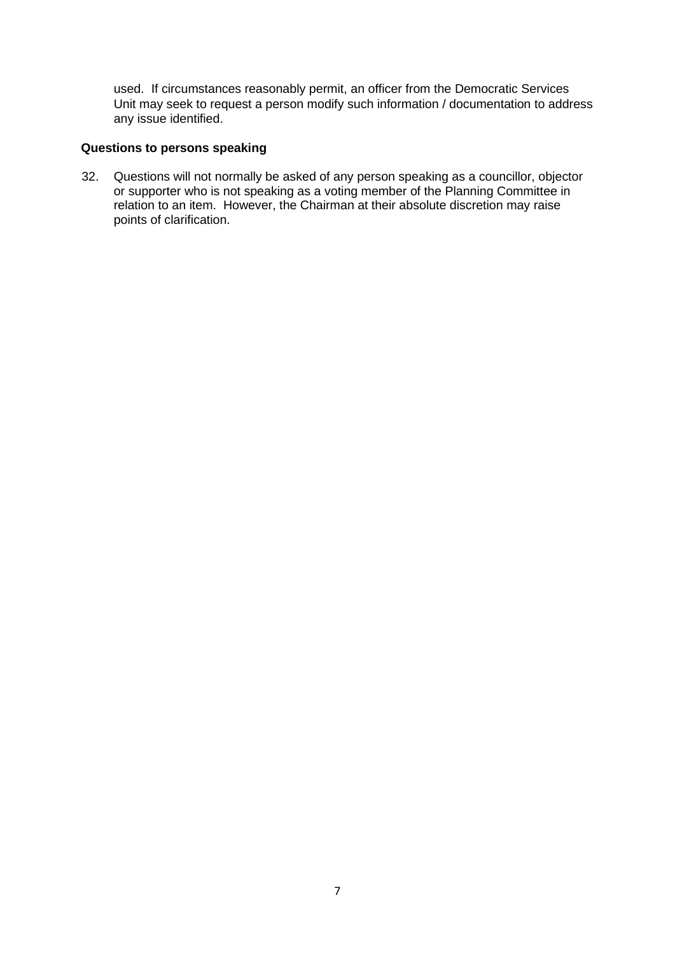used. If circumstances reasonably permit, an officer from the Democratic Services Unit may seek to request a person modify such information / documentation to address any issue identified.

## **Questions to persons speaking**

32. Questions will not normally be asked of any person speaking as a councillor, objector or supporter who is not speaking as a voting member of the Planning Committee in relation to an item. However, the Chairman at their absolute discretion may raise points of clarification.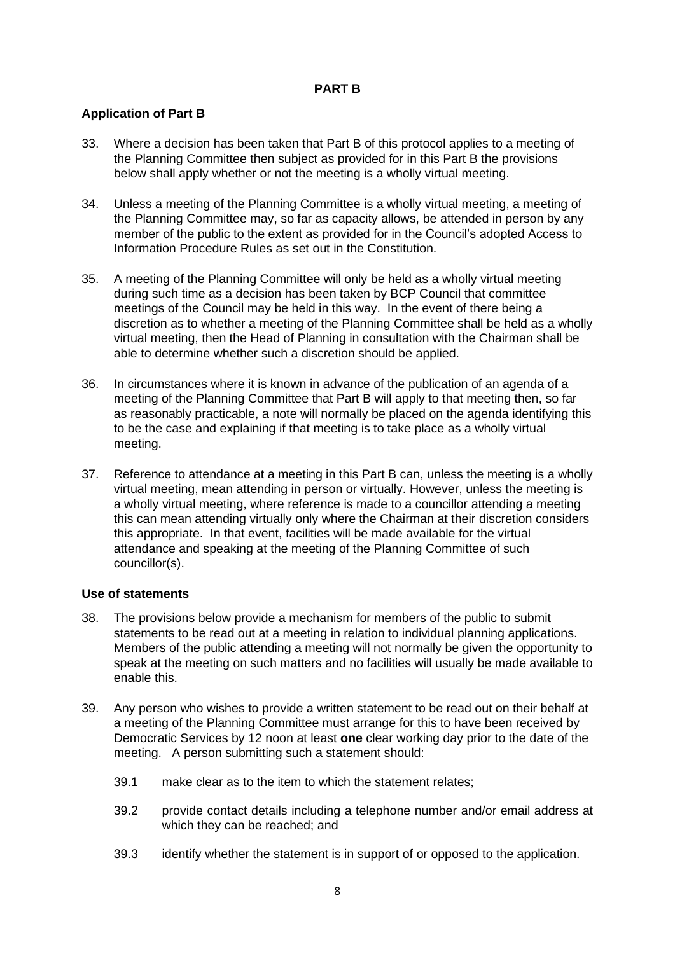## **PART B**

## **Application of Part B**

- 33. Where a decision has been taken that Part B of this protocol applies to a meeting of the Planning Committee then subject as provided for in this Part B the provisions below shall apply whether or not the meeting is a wholly virtual meeting.
- 34. Unless a meeting of the Planning Committee is a wholly virtual meeting, a meeting of the Planning Committee may, so far as capacity allows, be attended in person by any member of the public to the extent as provided for in the Council's adopted Access to Information Procedure Rules as set out in the Constitution.
- 35. A meeting of the Planning Committee will only be held as a wholly virtual meeting during such time as a decision has been taken by BCP Council that committee meetings of the Council may be held in this way. In the event of there being a discretion as to whether a meeting of the Planning Committee shall be held as a wholly virtual meeting, then the Head of Planning in consultation with the Chairman shall be able to determine whether such a discretion should be applied.
- 36. In circumstances where it is known in advance of the publication of an agenda of a meeting of the Planning Committee that Part B will apply to that meeting then, so far as reasonably practicable, a note will normally be placed on the agenda identifying this to be the case and explaining if that meeting is to take place as a wholly virtual meeting.
- 37. Reference to attendance at a meeting in this Part B can, unless the meeting is a wholly virtual meeting, mean attending in person or virtually. However, unless the meeting is a wholly virtual meeting, where reference is made to a councillor attending a meeting this can mean attending virtually only where the Chairman at their discretion considers this appropriate. In that event, facilities will be made available for the virtual attendance and speaking at the meeting of the Planning Committee of such councillor(s).

#### **Use of statements**

- 38. The provisions below provide a mechanism for members of the public to submit statements to be read out at a meeting in relation to individual planning applications. Members of the public attending a meeting will not normally be given the opportunity to speak at the meeting on such matters and no facilities will usually be made available to enable this.
- 39. Any person who wishes to provide a written statement to be read out on their behalf at a meeting of the Planning Committee must arrange for this to have been received by Democratic Services by 12 noon at least **one** clear working day prior to the date of the meeting. A person submitting such a statement should:
	- 39.1 make clear as to the item to which the statement relates;
	- 39.2 provide contact details including a telephone number and/or email address at which they can be reached; and
	- 39.3 identify whether the statement is in support of or opposed to the application.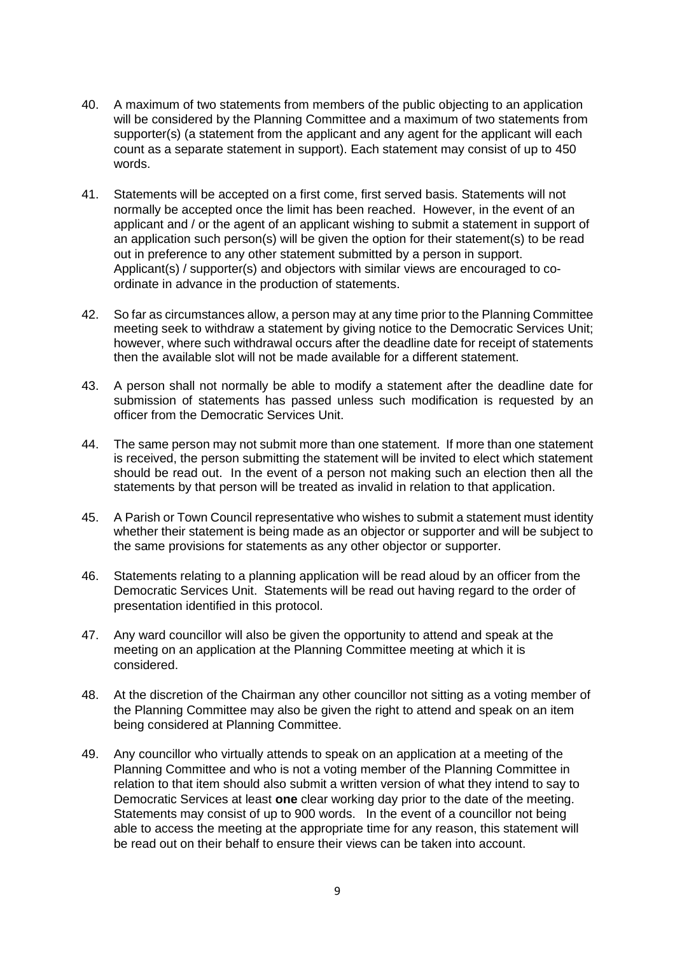- 40. A maximum of two statements from members of the public objecting to an application will be considered by the Planning Committee and a maximum of two statements from supporter(s) (a statement from the applicant and any agent for the applicant will each count as a separate statement in support). Each statement may consist of up to 450 words.
- 41. Statements will be accepted on a first come, first served basis. Statements will not normally be accepted once the limit has been reached. However, in the event of an applicant and / or the agent of an applicant wishing to submit a statement in support of an application such person(s) will be given the option for their statement(s) to be read out in preference to any other statement submitted by a person in support. Applicant(s) / supporter(s) and objectors with similar views are encouraged to coordinate in advance in the production of statements.
- 42. So far as circumstances allow, a person may at any time prior to the Planning Committee meeting seek to withdraw a statement by giving notice to the Democratic Services Unit; however, where such withdrawal occurs after the deadline date for receipt of statements then the available slot will not be made available for a different statement.
- 43. A person shall not normally be able to modify a statement after the deadline date for submission of statements has passed unless such modification is requested by an officer from the Democratic Services Unit.
- 44. The same person may not submit more than one statement. If more than one statement is received, the person submitting the statement will be invited to elect which statement should be read out. In the event of a person not making such an election then all the statements by that person will be treated as invalid in relation to that application.
- 45. A Parish or Town Council representative who wishes to submit a statement must identity whether their statement is being made as an objector or supporter and will be subject to the same provisions for statements as any other objector or supporter.
- 46. Statements relating to a planning application will be read aloud by an officer from the Democratic Services Unit. Statements will be read out having regard to the order of presentation identified in this protocol.
- 47. Any ward councillor will also be given the opportunity to attend and speak at the meeting on an application at the Planning Committee meeting at which it is considered.
- 48. At the discretion of the Chairman any other councillor not sitting as a voting member of the Planning Committee may also be given the right to attend and speak on an item being considered at Planning Committee.
- 49. Any councillor who virtually attends to speak on an application at a meeting of the Planning Committee and who is not a voting member of the Planning Committee in relation to that item should also submit a written version of what they intend to say to Democratic Services at least **one** clear working day prior to the date of the meeting. Statements may consist of up to 900 words. In the event of a councillor not being able to access the meeting at the appropriate time for any reason, this statement will be read out on their behalf to ensure their views can be taken into account.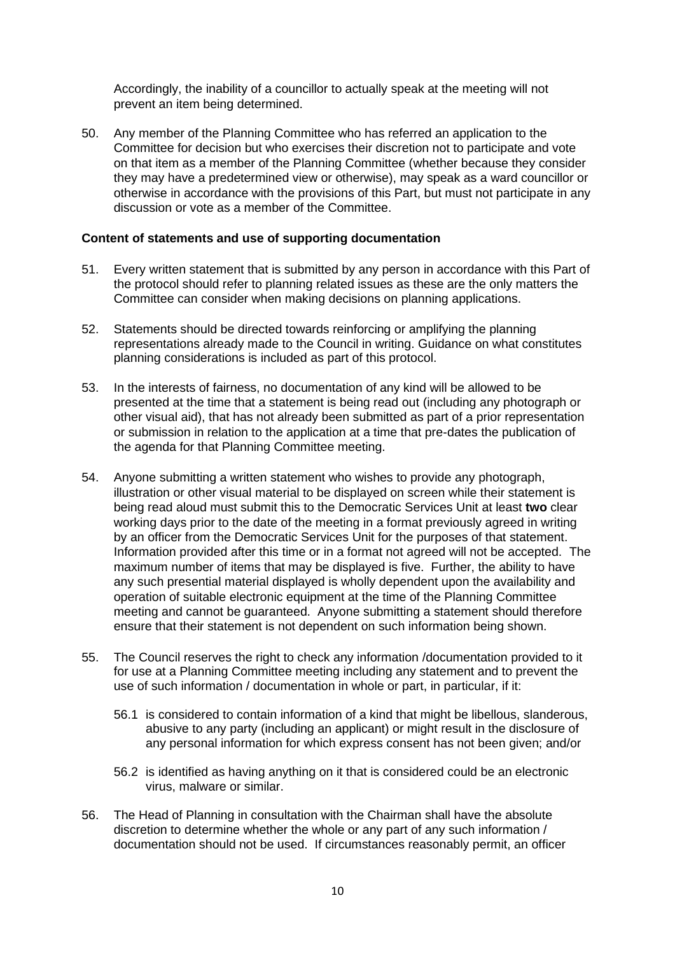Accordingly, the inability of a councillor to actually speak at the meeting will not prevent an item being determined.

50. Any member of the Planning Committee who has referred an application to the Committee for decision but who exercises their discretion not to participate and vote on that item as a member of the Planning Committee (whether because they consider they may have a predetermined view or otherwise), may speak as a ward councillor or otherwise in accordance with the provisions of this Part, but must not participate in any discussion or vote as a member of the Committee.

#### **Content of statements and use of supporting documentation**

- 51. Every written statement that is submitted by any person in accordance with this Part of the protocol should refer to planning related issues as these are the only matters the Committee can consider when making decisions on planning applications.
- 52. Statements should be directed towards reinforcing or amplifying the planning representations already made to the Council in writing. Guidance on what constitutes planning considerations is included as part of this protocol.
- 53. In the interests of fairness, no documentation of any kind will be allowed to be presented at the time that a statement is being read out (including any photograph or other visual aid), that has not already been submitted as part of a prior representation or submission in relation to the application at a time that pre-dates the publication of the agenda for that Planning Committee meeting.
- 54. Anyone submitting a written statement who wishes to provide any photograph, illustration or other visual material to be displayed on screen while their statement is being read aloud must submit this to the Democratic Services Unit at least **two** clear working days prior to the date of the meeting in a format previously agreed in writing by an officer from the Democratic Services Unit for the purposes of that statement. Information provided after this time or in a format not agreed will not be accepted. The maximum number of items that may be displayed is five. Further, the ability to have any such presential material displayed is wholly dependent upon the availability and operation of suitable electronic equipment at the time of the Planning Committee meeting and cannot be guaranteed. Anyone submitting a statement should therefore ensure that their statement is not dependent on such information being shown.
- 55. The Council reserves the right to check any information /documentation provided to it for use at a Planning Committee meeting including any statement and to prevent the use of such information / documentation in whole or part, in particular, if it:
	- 56.1 is considered to contain information of a kind that might be libellous, slanderous, abusive to any party (including an applicant) or might result in the disclosure of any personal information for which express consent has not been given; and/or
	- 56.2 is identified as having anything on it that is considered could be an electronic virus, malware or similar.
- 56. The Head of Planning in consultation with the Chairman shall have the absolute discretion to determine whether the whole or any part of any such information / documentation should not be used. If circumstances reasonably permit, an officer